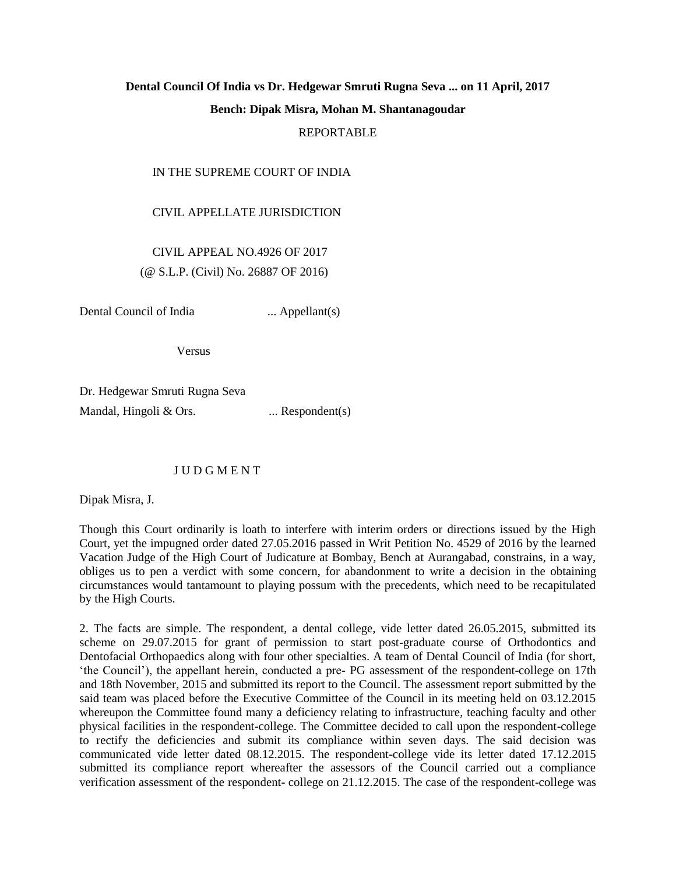## **Dental Council Of India vs Dr. Hedgewar Smruti Rugna Seva ... on 11 April, 2017 Bench: Dipak Misra, Mohan M. Shantanagoudar** REPORTABLE

## IN THE SUPREME COURT OF INDIA

CIVIL APPELLATE JURISDICTION

 CIVIL APPEAL NO.4926 OF 2017 (@ S.L.P. (Civil) No. 26887 OF 2016)

Dental Council of India ... Appellant(s)

Versus

Dr. Hedgewar Smruti Rugna Seva Mandal, Hingoli & Ors. ... Respondent(s)

## J U D G M E N T

Dipak Misra, J.

Though this Court ordinarily is loath to interfere with interim orders or directions issued by the High Court, yet the impugned order dated 27.05.2016 passed in Writ Petition No. 4529 of 2016 by the learned Vacation Judge of the High Court of Judicature at Bombay, Bench at Aurangabad, constrains, in a way, obliges us to pen a verdict with some concern, for abandonment to write a decision in the obtaining circumstances would tantamount to playing possum with the precedents, which need to be recapitulated by the High Courts.

2. The facts are simple. The respondent, a dental college, vide letter dated 26.05.2015, submitted its scheme on 29.07.2015 for grant of permission to start post-graduate course of Orthodontics and Dentofacial Orthopaedics along with four other specialties. A team of Dental Council of India (for short, 'the Council'), the appellant herein, conducted a pre- PG assessment of the respondent-college on 17th and 18th November, 2015 and submitted its report to the Council. The assessment report submitted by the said team was placed before the Executive Committee of the Council in its meeting held on 03.12.2015 whereupon the Committee found many a deficiency relating to infrastructure, teaching faculty and other physical facilities in the respondent-college. The Committee decided to call upon the respondent-college to rectify the deficiencies and submit its compliance within seven days. The said decision was communicated vide letter dated 08.12.2015. The respondent-college vide its letter dated 17.12.2015 submitted its compliance report whereafter the assessors of the Council carried out a compliance verification assessment of the respondent- college on 21.12.2015. The case of the respondent-college was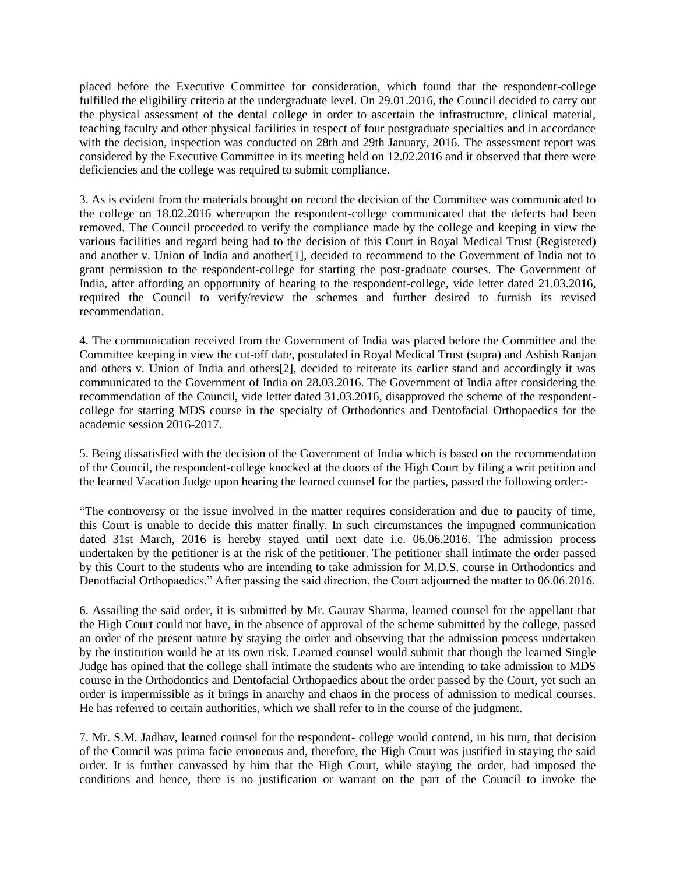placed before the Executive Committee for consideration, which found that the respondent-college fulfilled the eligibility criteria at the undergraduate level. On 29.01.2016, the Council decided to carry out the physical assessment of the dental college in order to ascertain the infrastructure, clinical material, teaching faculty and other physical facilities in respect of four postgraduate specialties and in accordance with the decision, inspection was conducted on 28th and 29th January, 2016. The assessment report was considered by the Executive Committee in its meeting held on 12.02.2016 and it observed that there were deficiencies and the college was required to submit compliance.

3. As is evident from the materials brought on record the decision of the Committee was communicated to the college on 18.02.2016 whereupon the respondent-college communicated that the defects had been removed. The Council proceeded to verify the compliance made by the college and keeping in view the various facilities and regard being had to the decision of this Court in Royal Medical Trust (Registered) and another v. Union of India and another[1], decided to recommend to the Government of India not to grant permission to the respondent-college for starting the post-graduate courses. The Government of India, after affording an opportunity of hearing to the respondent-college, vide letter dated 21.03.2016, required the Council to verify/review the schemes and further desired to furnish its revised recommendation.

4. The communication received from the Government of India was placed before the Committee and the Committee keeping in view the cut-off date, postulated in Royal Medical Trust (supra) and Ashish Ranjan and others v. Union of India and others[2], decided to reiterate its earlier stand and accordingly it was communicated to the Government of India on 28.03.2016. The Government of India after considering the recommendation of the Council, vide letter dated 31.03.2016, disapproved the scheme of the respondentcollege for starting MDS course in the specialty of Orthodontics and Dentofacial Orthopaedics for the academic session 2016-2017.

5. Being dissatisfied with the decision of the Government of India which is based on the recommendation of the Council, the respondent-college knocked at the doors of the High Court by filing a writ petition and the learned Vacation Judge upon hearing the learned counsel for the parties, passed the following order:-

"The controversy or the issue involved in the matter requires consideration and due to paucity of time, this Court is unable to decide this matter finally. In such circumstances the impugned communication dated 31st March, 2016 is hereby stayed until next date i.e. 06.06.2016. The admission process undertaken by the petitioner is at the risk of the petitioner. The petitioner shall intimate the order passed by this Court to the students who are intending to take admission for M.D.S. course in Orthodontics and Denotfacial Orthopaedics." After passing the said direction, the Court adjourned the matter to 06.06.2016.

6. Assailing the said order, it is submitted by Mr. Gaurav Sharma, learned counsel for the appellant that the High Court could not have, in the absence of approval of the scheme submitted by the college, passed an order of the present nature by staying the order and observing that the admission process undertaken by the institution would be at its own risk. Learned counsel would submit that though the learned Single Judge has opined that the college shall intimate the students who are intending to take admission to MDS course in the Orthodontics and Dentofacial Orthopaedics about the order passed by the Court, yet such an order is impermissible as it brings in anarchy and chaos in the process of admission to medical courses. He has referred to certain authorities, which we shall refer to in the course of the judgment.

7. Mr. S.M. Jadhav, learned counsel for the respondent- college would contend, in his turn, that decision of the Council was prima facie erroneous and, therefore, the High Court was justified in staying the said order. It is further canvassed by him that the High Court, while staying the order, had imposed the conditions and hence, there is no justification or warrant on the part of the Council to invoke the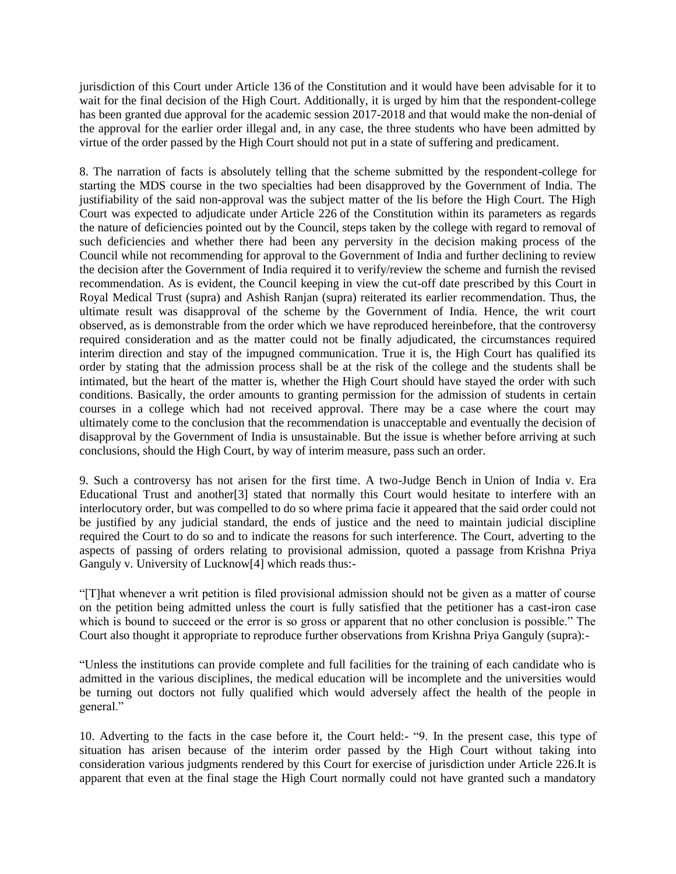jurisdiction of this Court under Article 136 of the Constitution and it would have been advisable for it to wait for the final decision of the High Court. Additionally, it is urged by him that the respondent-college has been granted due approval for the academic session 2017-2018 and that would make the non-denial of the approval for the earlier order illegal and, in any case, the three students who have been admitted by virtue of the order passed by the High Court should not put in a state of suffering and predicament.

8. The narration of facts is absolutely telling that the scheme submitted by the respondent-college for starting the MDS course in the two specialties had been disapproved by the Government of India. The justifiability of the said non-approval was the subject matter of the lis before the High Court. The High Court was expected to adjudicate under Article 226 of the Constitution within its parameters as regards the nature of deficiencies pointed out by the Council, steps taken by the college with regard to removal of such deficiencies and whether there had been any perversity in the decision making process of the Council while not recommending for approval to the Government of India and further declining to review the decision after the Government of India required it to verify/review the scheme and furnish the revised recommendation. As is evident, the Council keeping in view the cut-off date prescribed by this Court in Royal Medical Trust (supra) and Ashish Ranjan (supra) reiterated its earlier recommendation. Thus, the ultimate result was disapproval of the scheme by the Government of India. Hence, the writ court observed, as is demonstrable from the order which we have reproduced hereinbefore, that the controversy required consideration and as the matter could not be finally adjudicated, the circumstances required interim direction and stay of the impugned communication. True it is, the High Court has qualified its order by stating that the admission process shall be at the risk of the college and the students shall be intimated, but the heart of the matter is, whether the High Court should have stayed the order with such conditions. Basically, the order amounts to granting permission for the admission of students in certain courses in a college which had not received approval. There may be a case where the court may ultimately come to the conclusion that the recommendation is unacceptable and eventually the decision of disapproval by the Government of India is unsustainable. But the issue is whether before arriving at such conclusions, should the High Court, by way of interim measure, pass such an order.

9. Such a controversy has not arisen for the first time. A two-Judge Bench in Union of India v. Era Educational Trust and another[3] stated that normally this Court would hesitate to interfere with an interlocutory order, but was compelled to do so where prima facie it appeared that the said order could not be justified by any judicial standard, the ends of justice and the need to maintain judicial discipline required the Court to do so and to indicate the reasons for such interference. The Court, adverting to the aspects of passing of orders relating to provisional admission, quoted a passage from Krishna Priya Ganguly v. University of Lucknow[4] which reads thus:-

"[T]hat whenever a writ petition is filed provisional admission should not be given as a matter of course on the petition being admitted unless the court is fully satisfied that the petitioner has a cast-iron case which is bound to succeed or the error is so gross or apparent that no other conclusion is possible." The Court also thought it appropriate to reproduce further observations from Krishna Priya Ganguly (supra):-

"Unless the institutions can provide complete and full facilities for the training of each candidate who is admitted in the various disciplines, the medical education will be incomplete and the universities would be turning out doctors not fully qualified which would adversely affect the health of the people in general."

10. Adverting to the facts in the case before it, the Court held:- "9. In the present case, this type of situation has arisen because of the interim order passed by the High Court without taking into consideration various judgments rendered by this Court for exercise of jurisdiction under Article 226.It is apparent that even at the final stage the High Court normally could not have granted such a mandatory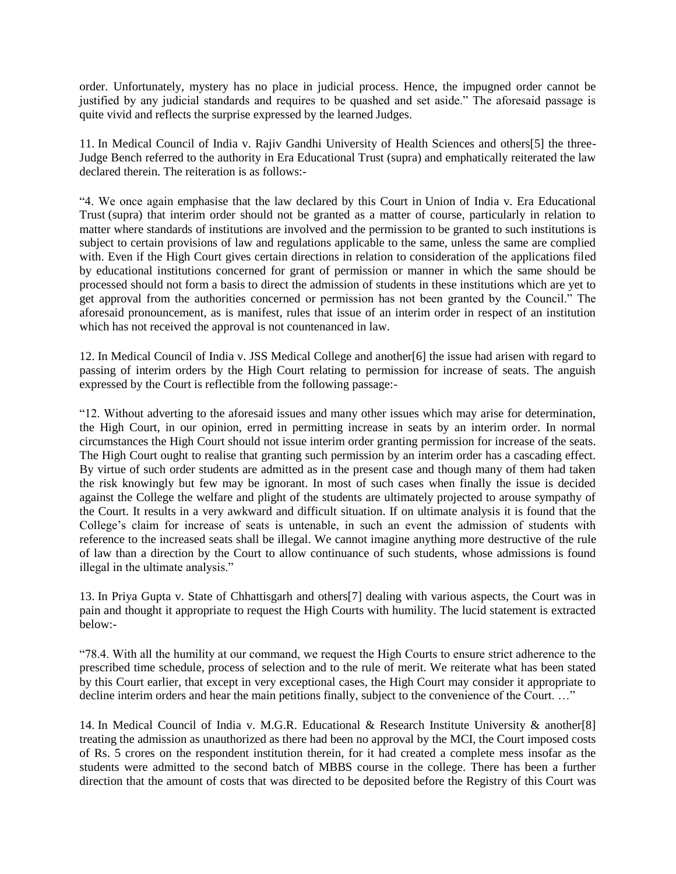order. Unfortunately, mystery has no place in judicial process. Hence, the impugned order cannot be justified by any judicial standards and requires to be quashed and set aside." The aforesaid passage is quite vivid and reflects the surprise expressed by the learned Judges.

11. In Medical Council of India v. Rajiv Gandhi University of Health Sciences and others[5] the three-Judge Bench referred to the authority in Era Educational Trust (supra) and emphatically reiterated the law declared therein. The reiteration is as follows:-

"4. We once again emphasise that the law declared by this Court in Union of India v. Era Educational Trust (supra) that interim order should not be granted as a matter of course, particularly in relation to matter where standards of institutions are involved and the permission to be granted to such institutions is subject to certain provisions of law and regulations applicable to the same, unless the same are complied with. Even if the High Court gives certain directions in relation to consideration of the applications filed by educational institutions concerned for grant of permission or manner in which the same should be processed should not form a basis to direct the admission of students in these institutions which are yet to get approval from the authorities concerned or permission has not been granted by the Council." The aforesaid pronouncement, as is manifest, rules that issue of an interim order in respect of an institution which has not received the approval is not countenanced in law.

12. In Medical Council of India v. JSS Medical College and another[6] the issue had arisen with regard to passing of interim orders by the High Court relating to permission for increase of seats. The anguish expressed by the Court is reflectible from the following passage:-

"12. Without adverting to the aforesaid issues and many other issues which may arise for determination, the High Court, in our opinion, erred in permitting increase in seats by an interim order. In normal circumstances the High Court should not issue interim order granting permission for increase of the seats. The High Court ought to realise that granting such permission by an interim order has a cascading effect. By virtue of such order students are admitted as in the present case and though many of them had taken the risk knowingly but few may be ignorant. In most of such cases when finally the issue is decided against the College the welfare and plight of the students are ultimately projected to arouse sympathy of the Court. It results in a very awkward and difficult situation. If on ultimate analysis it is found that the College's claim for increase of seats is untenable, in such an event the admission of students with reference to the increased seats shall be illegal. We cannot imagine anything more destructive of the rule of law than a direction by the Court to allow continuance of such students, whose admissions is found illegal in the ultimate analysis."

13. In Priya Gupta v. State of Chhattisgarh and others[7] dealing with various aspects, the Court was in pain and thought it appropriate to request the High Courts with humility. The lucid statement is extracted below:-

"78.4. With all the humility at our command, we request the High Courts to ensure strict adherence to the prescribed time schedule, process of selection and to the rule of merit. We reiterate what has been stated by this Court earlier, that except in very exceptional cases, the High Court may consider it appropriate to decline interim orders and hear the main petitions finally, subject to the convenience of the Court. ..."

14. In Medical Council of India v. M.G.R. Educational & Research Institute University & another[8] treating the admission as unauthorized as there had been no approval by the MCI, the Court imposed costs of Rs. 5 crores on the respondent institution therein, for it had created a complete mess insofar as the students were admitted to the second batch of MBBS course in the college. There has been a further direction that the amount of costs that was directed to be deposited before the Registry of this Court was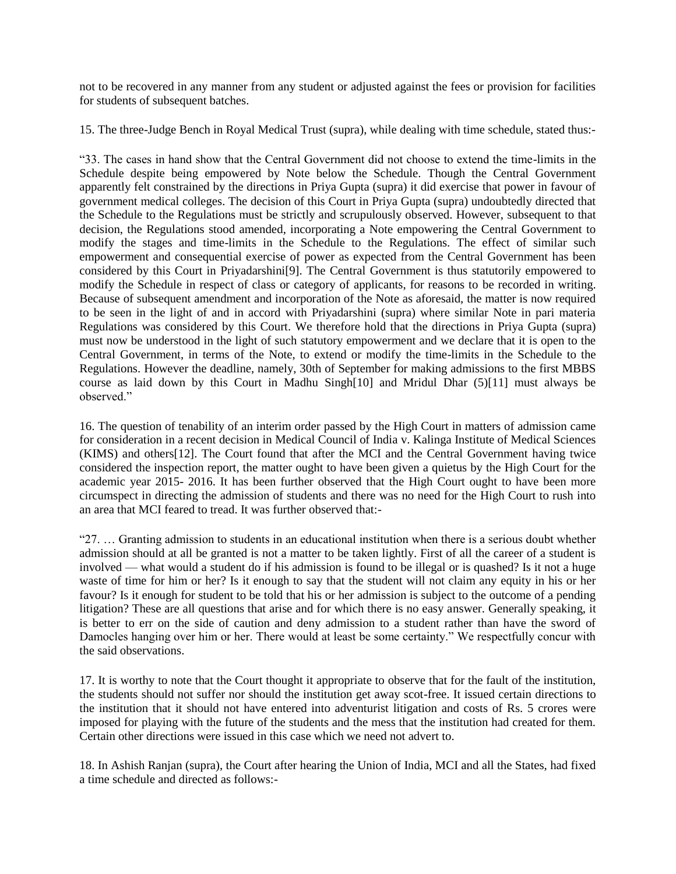not to be recovered in any manner from any student or adjusted against the fees or provision for facilities for students of subsequent batches.

15. The three-Judge Bench in Royal Medical Trust (supra), while dealing with time schedule, stated thus:-

"33. The cases in hand show that the Central Government did not choose to extend the time-limits in the Schedule despite being empowered by Note below the Schedule. Though the Central Government apparently felt constrained by the directions in Priya Gupta (supra) it did exercise that power in favour of government medical colleges. The decision of this Court in Priya Gupta (supra) undoubtedly directed that the Schedule to the Regulations must be strictly and scrupulously observed. However, subsequent to that decision, the Regulations stood amended, incorporating a Note empowering the Central Government to modify the stages and time-limits in the Schedule to the Regulations. The effect of similar such empowerment and consequential exercise of power as expected from the Central Government has been considered by this Court in Priyadarshini[9]. The Central Government is thus statutorily empowered to modify the Schedule in respect of class or category of applicants, for reasons to be recorded in writing. Because of subsequent amendment and incorporation of the Note as aforesaid, the matter is now required to be seen in the light of and in accord with Priyadarshini (supra) where similar Note in pari materia Regulations was considered by this Court. We therefore hold that the directions in Priya Gupta (supra) must now be understood in the light of such statutory empowerment and we declare that it is open to the Central Government, in terms of the Note, to extend or modify the time-limits in the Schedule to the Regulations. However the deadline, namely, 30th of September for making admissions to the first MBBS course as laid down by this Court in Madhu Singh[10] and Mridul Dhar (5)[11] must always be observed."

16. The question of tenability of an interim order passed by the High Court in matters of admission came for consideration in a recent decision in Medical Council of India v. Kalinga Institute of Medical Sciences (KIMS) and others[12]. The Court found that after the MCI and the Central Government having twice considered the inspection report, the matter ought to have been given a quietus by the High Court for the academic year 2015- 2016. It has been further observed that the High Court ought to have been more circumspect in directing the admission of students and there was no need for the High Court to rush into an area that MCI feared to tread. It was further observed that:-

"27. … Granting admission to students in an educational institution when there is a serious doubt whether admission should at all be granted is not a matter to be taken lightly. First of all the career of a student is involved — what would a student do if his admission is found to be illegal or is quashed? Is it not a huge waste of time for him or her? Is it enough to say that the student will not claim any equity in his or her favour? Is it enough for student to be told that his or her admission is subject to the outcome of a pending litigation? These are all questions that arise and for which there is no easy answer. Generally speaking, it is better to err on the side of caution and deny admission to a student rather than have the sword of Damocles hanging over him or her. There would at least be some certainty." We respectfully concur with the said observations.

17. It is worthy to note that the Court thought it appropriate to observe that for the fault of the institution, the students should not suffer nor should the institution get away scot-free. It issued certain directions to the institution that it should not have entered into adventurist litigation and costs of Rs. 5 crores were imposed for playing with the future of the students and the mess that the institution had created for them. Certain other directions were issued in this case which we need not advert to.

18. In Ashish Ranjan (supra), the Court after hearing the Union of India, MCI and all the States, had fixed a time schedule and directed as follows:-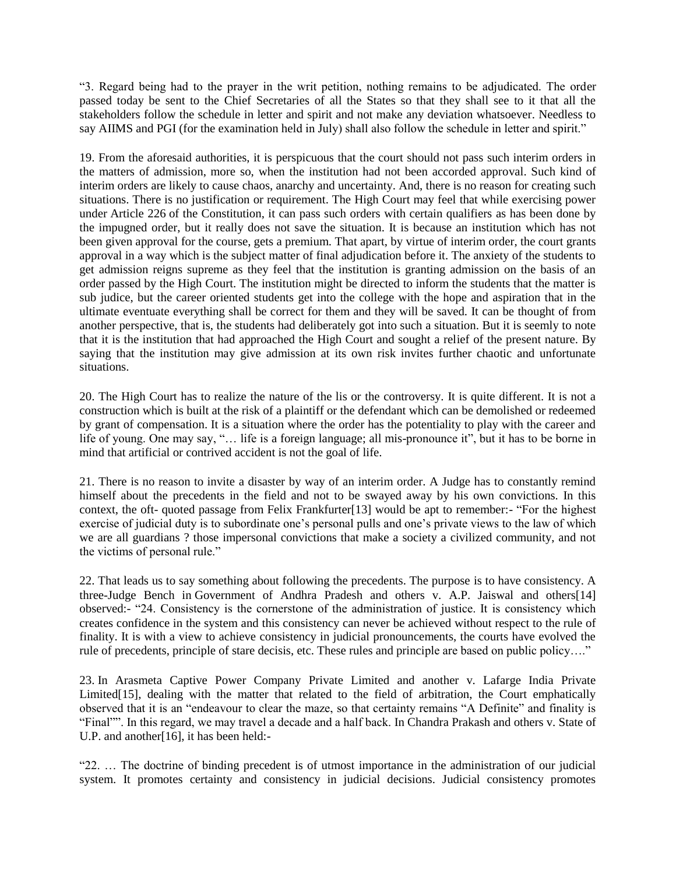"3. Regard being had to the prayer in the writ petition, nothing remains to be adjudicated. The order passed today be sent to the Chief Secretaries of all the States so that they shall see to it that all the stakeholders follow the schedule in letter and spirit and not make any deviation whatsoever. Needless to say AIIMS and PGI (for the examination held in July) shall also follow the schedule in letter and spirit."

19. From the aforesaid authorities, it is perspicuous that the court should not pass such interim orders in the matters of admission, more so, when the institution had not been accorded approval. Such kind of interim orders are likely to cause chaos, anarchy and uncertainty. And, there is no reason for creating such situations. There is no justification or requirement. The High Court may feel that while exercising power under Article 226 of the Constitution, it can pass such orders with certain qualifiers as has been done by the impugned order, but it really does not save the situation. It is because an institution which has not been given approval for the course, gets a premium. That apart, by virtue of interim order, the court grants approval in a way which is the subject matter of final adjudication before it. The anxiety of the students to get admission reigns supreme as they feel that the institution is granting admission on the basis of an order passed by the High Court. The institution might be directed to inform the students that the matter is sub judice, but the career oriented students get into the college with the hope and aspiration that in the ultimate eventuate everything shall be correct for them and they will be saved. It can be thought of from another perspective, that is, the students had deliberately got into such a situation. But it is seemly to note that it is the institution that had approached the High Court and sought a relief of the present nature. By saying that the institution may give admission at its own risk invites further chaotic and unfortunate situations.

20. The High Court has to realize the nature of the lis or the controversy. It is quite different. It is not a construction which is built at the risk of a plaintiff or the defendant which can be demolished or redeemed by grant of compensation. It is a situation where the order has the potentiality to play with the career and life of young. One may say, "… life is a foreign language; all mis-pronounce it", but it has to be borne in mind that artificial or contrived accident is not the goal of life.

21. There is no reason to invite a disaster by way of an interim order. A Judge has to constantly remind himself about the precedents in the field and not to be swayed away by his own convictions. In this context, the oft- quoted passage from Felix Frankfurter[13] would be apt to remember:- "For the highest exercise of judicial duty is to subordinate one's personal pulls and one's private views to the law of which we are all guardians ? those impersonal convictions that make a society a civilized community, and not the victims of personal rule."

22. That leads us to say something about following the precedents. The purpose is to have consistency. A three-Judge Bench in Government of Andhra Pradesh and others v. A.P. Jaiswal and others[14] observed:- "24. Consistency is the cornerstone of the administration of justice. It is consistency which creates confidence in the system and this consistency can never be achieved without respect to the rule of finality. It is with a view to achieve consistency in judicial pronouncements, the courts have evolved the rule of precedents, principle of stare decisis, etc. These rules and principle are based on public policy…."

23. In Arasmeta Captive Power Company Private Limited and another v. Lafarge India Private Limited<sup>[15]</sup>, dealing with the matter that related to the field of arbitration, the Court emphatically observed that it is an "endeavour to clear the maze, so that certainty remains "A Definite" and finality is "Final"". In this regard, we may travel a decade and a half back. In Chandra Prakash and others v. State of U.P. and another[16], it has been held:-

"22. … The doctrine of binding precedent is of utmost importance in the administration of our judicial system. It promotes certainty and consistency in judicial decisions. Judicial consistency promotes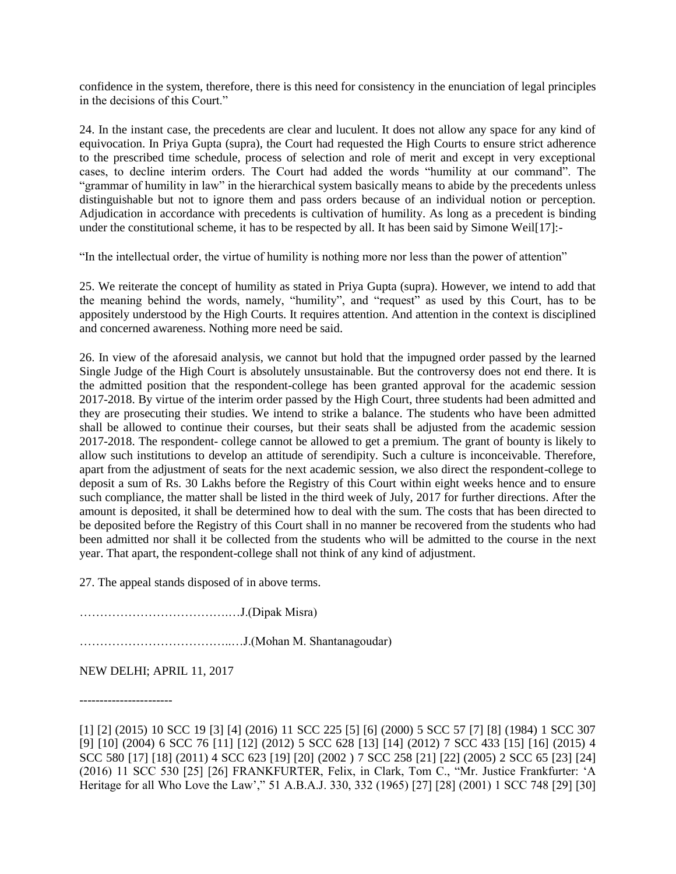confidence in the system, therefore, there is this need for consistency in the enunciation of legal principles in the decisions of this Court."

24. In the instant case, the precedents are clear and luculent. It does not allow any space for any kind of equivocation. In Priya Gupta (supra), the Court had requested the High Courts to ensure strict adherence to the prescribed time schedule, process of selection and role of merit and except in very exceptional cases, to decline interim orders. The Court had added the words "humility at our command". The "grammar of humility in law" in the hierarchical system basically means to abide by the precedents unless distinguishable but not to ignore them and pass orders because of an individual notion or perception. Adjudication in accordance with precedents is cultivation of humility. As long as a precedent is binding under the constitutional scheme, it has to be respected by all. It has been said by Simone Weil[17]:-

"In the intellectual order, the virtue of humility is nothing more nor less than the power of attention"

25. We reiterate the concept of humility as stated in Priya Gupta (supra). However, we intend to add that the meaning behind the words, namely, "humility", and "request" as used by this Court, has to be appositely understood by the High Courts. It requires attention. And attention in the context is disciplined and concerned awareness. Nothing more need be said.

26. In view of the aforesaid analysis, we cannot but hold that the impugned order passed by the learned Single Judge of the High Court is absolutely unsustainable. But the controversy does not end there. It is the admitted position that the respondent-college has been granted approval for the academic session 2017-2018. By virtue of the interim order passed by the High Court, three students had been admitted and they are prosecuting their studies. We intend to strike a balance. The students who have been admitted shall be allowed to continue their courses, but their seats shall be adjusted from the academic session 2017-2018. The respondent- college cannot be allowed to get a premium. The grant of bounty is likely to allow such institutions to develop an attitude of serendipity. Such a culture is inconceivable. Therefore, apart from the adjustment of seats for the next academic session, we also direct the respondent-college to deposit a sum of Rs. 30 Lakhs before the Registry of this Court within eight weeks hence and to ensure such compliance, the matter shall be listed in the third week of July, 2017 for further directions. After the amount is deposited, it shall be determined how to deal with the sum. The costs that has been directed to be deposited before the Registry of this Court shall in no manner be recovered from the students who had been admitted nor shall it be collected from the students who will be admitted to the course in the next year. That apart, the respondent-college shall not think of any kind of adjustment.

27. The appeal stands disposed of in above terms.

……………………………….…J.(Dipak Misra)

………………………………..…J.(Mohan M. Shantanagoudar)

NEW DELHI; APRIL 11, 2017

-----------------------

<sup>[1] [2] (2015) 10</sup> SCC 19 [3] [4] (2016) 11 SCC 225 [5] [6] (2000) 5 SCC 57 [7] [8] (1984) 1 SCC 307 [9] [10] (2004) 6 SCC 76 [11] [12] (2012) 5 SCC 628 [13] [14] (2012) 7 SCC 433 [15] [16] (2015) 4 SCC 580 [17] [18] (2011) 4 SCC 623 [19] [20] (2002 ) 7 SCC 258 [21] [22] (2005) 2 SCC 65 [23] [24] (2016) 11 SCC 530 [25] [26] FRANKFURTER, Felix, in Clark, Tom C., "Mr. Justice Frankfurter: 'A Heritage for all Who Love the Law'," 51 A.B.A.J. 330, 332 (1965) [27] [28] (2001) 1 SCC 748 [29] [30]